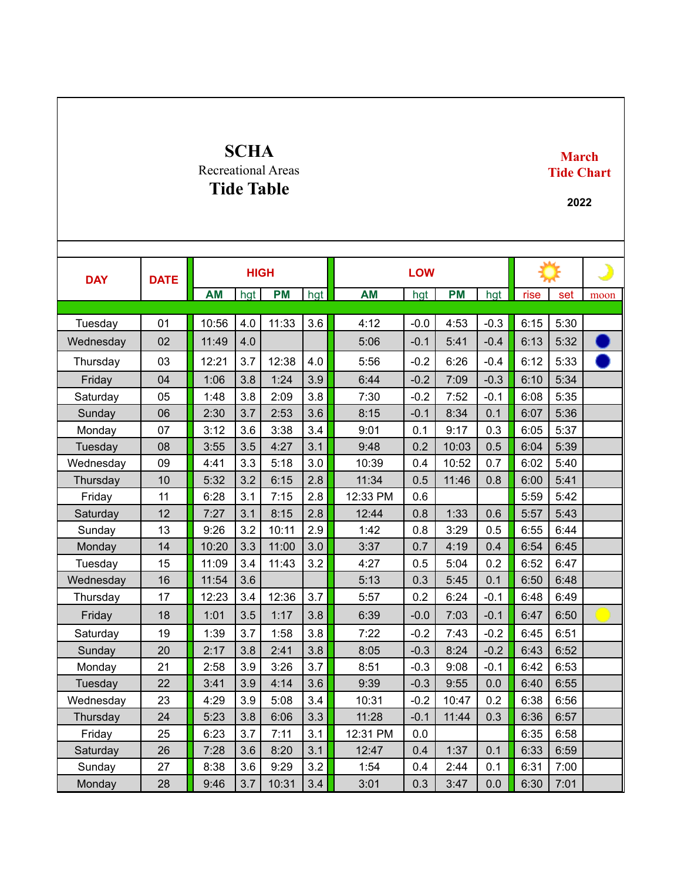## **SCHA** Recreational Areas **Tide Table**

## **March Tide Chart**

**2022**

| <b>DAY</b> | <b>DATE</b> | <b>HIGH</b> |     |           |     | <b>LOW</b> |        |           |        |      |      | د    |
|------------|-------------|-------------|-----|-----------|-----|------------|--------|-----------|--------|------|------|------|
|            |             | <b>AM</b>   | hgt | <b>PM</b> | hgt | <b>AM</b>  | hgt    | <b>PM</b> | hgt    | rise | set  | moon |
|            |             |             |     |           |     |            |        |           |        |      |      |      |
| Tuesday    | 01          | 10:56       | 4.0 | 11:33     | 3.6 | 4:12       | $-0.0$ | 4:53      | $-0.3$ | 6:15 | 5:30 |      |
| Wednesday  | 02          | 11:49       | 4.0 |           |     | 5:06       | $-0.1$ | 5:41      | $-0.4$ | 6:13 | 5:32 |      |
| Thursday   | 03          | 12:21       | 3.7 | 12:38     | 4.0 | 5:56       | $-0.2$ | 6:26      | $-0.4$ | 6:12 | 5:33 |      |
| Friday     | 04          | 1:06        | 3.8 | 1:24      | 3.9 | 6:44       | $-0.2$ | 7:09      | $-0.3$ | 6:10 | 5:34 |      |
| Saturday   | 05          | 1:48        | 3.8 | 2:09      | 3.8 | 7:30       | $-0.2$ | 7:52      | $-0.1$ | 6:08 | 5:35 |      |
| Sunday     | 06          | 2:30        | 3.7 | 2:53      | 3.6 | 8:15       | $-0.1$ | 8:34      | 0.1    | 6:07 | 5:36 |      |
| Monday     | 07          | 3:12        | 3.6 | 3:38      | 3.4 | 9:01       | 0.1    | 9:17      | 0.3    | 6:05 | 5:37 |      |
| Tuesday    | 08          | 3:55        | 3.5 | 4:27      | 3.1 | 9:48       | 0.2    | 10:03     | 0.5    | 6:04 | 5:39 |      |
| Wednesday  | 09          | 4:41        | 3.3 | 5:18      | 3.0 | 10:39      | 0.4    | 10:52     | 0.7    | 6:02 | 5:40 |      |
| Thursday   | 10          | 5:32        | 3.2 | 6:15      | 2.8 | 11:34      | 0.5    | 11:46     | 0.8    | 6:00 | 5:41 |      |
| Friday     | 11          | 6:28        | 3.1 | 7:15      | 2.8 | 12:33 PM   | 0.6    |           |        | 5:59 | 5:42 |      |
| Saturday   | 12          | 7:27        | 3.1 | 8:15      | 2.8 | 12:44      | 0.8    | 1:33      | 0.6    | 5:57 | 5:43 |      |
| Sunday     | 13          | 9:26        | 3.2 | 10:11     | 2.9 | 1:42       | 0.8    | 3:29      | 0.5    | 6:55 | 6:44 |      |
| Monday     | 14          | 10:20       | 3.3 | 11:00     | 3.0 | 3:37       | 0.7    | 4:19      | 0.4    | 6:54 | 6:45 |      |
| Tuesday    | 15          | 11:09       | 3.4 | 11:43     | 3.2 | 4:27       | 0.5    | 5:04      | 0.2    | 6:52 | 6:47 |      |
| Wednesday  | 16          | 11:54       | 3.6 |           |     | 5:13       | 0.3    | 5:45      | 0.1    | 6:50 | 6:48 |      |
| Thursday   | 17          | 12:23       | 3.4 | 12:36     | 3.7 | 5:57       | 0.2    | 6:24      | $-0.1$ | 6:48 | 6:49 |      |
| Friday     | 18          | 1:01        | 3.5 | 1:17      | 3.8 | 6:39       | $-0.0$ | 7:03      | $-0.1$ | 6:47 | 6:50 |      |
| Saturday   | 19          | 1:39        | 3.7 | 1:58      | 3.8 | 7:22       | $-0.2$ | 7:43      | $-0.2$ | 6:45 | 6:51 |      |
| Sunday     | 20          | 2:17        | 3.8 | 2:41      | 3.8 | 8:05       | $-0.3$ | 8:24      | $-0.2$ | 6:43 | 6:52 |      |
| Monday     | 21          | 2:58        | 3.9 | 3:26      | 3.7 | 8:51       | $-0.3$ | 9:08      | $-0.1$ | 6:42 | 6:53 |      |
| Tuesday    | 22          | 3:41        | 3.9 | 4:14      | 3.6 | 9:39       | $-0.3$ | 9:55      | 0.0    | 6:40 | 6:55 |      |
| Wednesday  | 23          | 4:29        | 3.9 | 5:08      | 3.4 | 10:31      | $-0.2$ | 10:47     | 0.2    | 6:38 | 6:56 |      |
| Thursday   | 24          | 5:23        | 3.8 | 6:06      | 3.3 | 11:28      | $-0.1$ | 11:44     | 0.3    | 6:36 | 6:57 |      |
| Friday     | 25          | 6:23        | 3.7 | 7:11      | 3.1 | 12:31 PM   | 0.0    |           |        | 6:35 | 6:58 |      |
| Saturday   | 26          | 7:28        | 3.6 | 8:20      | 3.1 | 12:47      | 0.4    | 1:37      | 0.1    | 6:33 | 6:59 |      |
| Sunday     | 27          | 8:38        | 3.6 | 9:29      | 3.2 | 1:54       | 0.4    | 2:44      | 0.1    | 6:31 | 7:00 |      |
| Monday     | 28          | 9:46        | 3.7 | 10:31     | 3.4 | 3:01       | 0.3    | 3:47      | 0.0    | 6:30 | 7:01 |      |